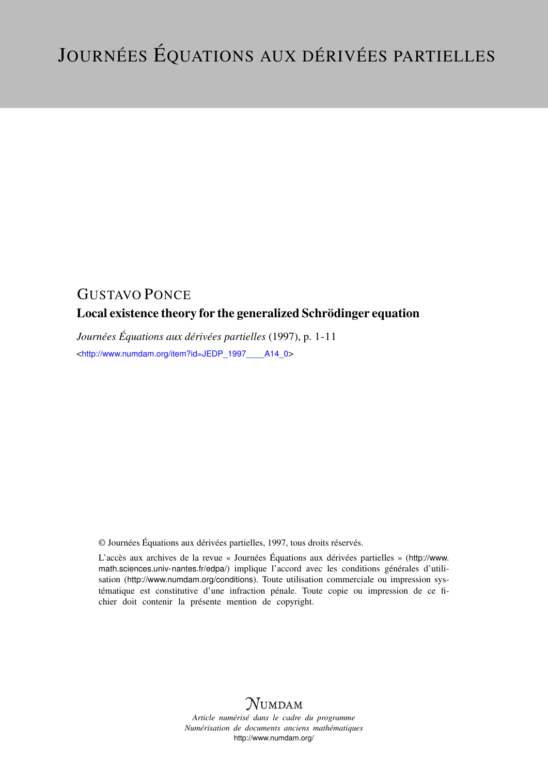# GUSTAVO PONCE

## Local existence theory for the generalized Schrödinger equation

*Journées Équations aux dérivées partielles* (1997), p. 1-11 <[http://www.numdam.org/item?id=JEDP\\_1997\\_\\_\\_\\_A14\\_0](http://www.numdam.org/item?id=JEDP_1997____A14_0)>

© Journées Équations aux dérivées partielles, 1997, tous droits réservés.

L'accès aux archives de la revue « Journées Équations aux dérivées partielles » ([http://www.](http://www.math.sciences.univ-nantes.fr/edpa/) [math.sciences.univ-nantes.fr/edpa/](http://www.math.sciences.univ-nantes.fr/edpa/)) implique l'accord avec les conditions générales d'utilisation (<http://www.numdam.org/conditions>). Toute utilisation commerciale ou impression systématique est constitutive d'une infraction pénale. Toute copie ou impression de ce fichier doit contenir la présente mention de copyright.



*Article numérisé dans le cadre du programme Numérisation de documents anciens mathématiques* <http://www.numdam.org/>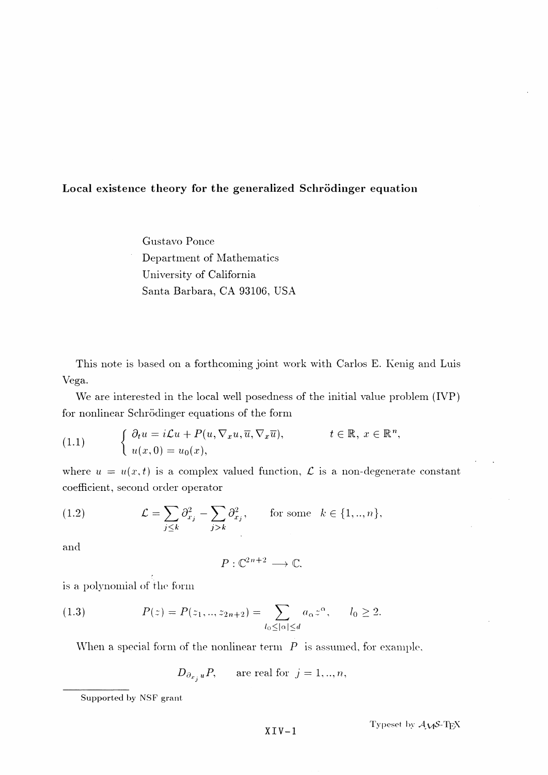## Local existence theory for the generalized Schrödinger equation

Gustavo Ponce Department of Mathematics University of California Santa Barbara, CA 93106, USA

This note is based on a forthcoming joint work with Carlos E. Kenig and Luis Vega.

We are interested in the local well posedness of the initial value problem (IVP) for nonlinear Schrödinger equations of the form

(1.1) 
$$
\begin{cases} \partial_t u = i \mathcal{L} u + P(u, \nabla_x u, \overline{u}, \nabla_x \overline{u}), & t \in \mathbb{R}, \ x \in \mathbb{R}^n, \\ u(x, 0) = u_0(x), & \end{cases}
$$

where  $u = u(x, t)$  is a complex valued function,  $\mathcal L$  is a non-degenerate constant coefficient, second order operator

(1.2) 
$$
\mathcal{L} = \sum_{j \leq k} \partial_{x_j}^2 - \sum_{j > k} \partial_{x_j}^2, \quad \text{for some } k \in \{1, ..., n\},
$$

and

$$
P:\mathbb{C}^{2n+2}\longrightarrow\mathbb{C}.
$$

is a polynomial of the form

(1.3) 
$$
P(z) = P(z_1, ..., z_{2n+2}) = \sum_{l_0 \leq |\alpha| \leq d} a_{\alpha} z^{\alpha}, \qquad l_0 \geq 2.
$$

When a special form of the nonlinear term *P* is assumed, for example,

$$
D_{\partial_{x_i}u}P
$$
, are real for  $j = 1, ..., n$ ,

Supported by NSF grant

 $XY - 1$  <br>Typeset by  $A_{V}S$ -**T**<sub>E</sub>X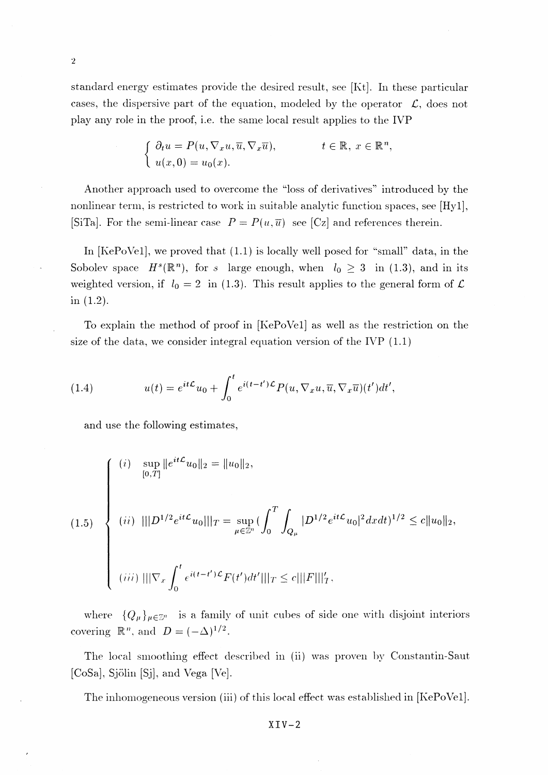standard energy estimates provide the desired result, see [Kt]. In these particular cases, the dispersive part of the equation, modeled by the operator  $\mathcal{L}$ , does not play any role in the proof, i.e. the same local result applies to the IVP

$$
\begin{cases} \n\partial_t u = P(u, \nabla_x u, \overline{u}, \nabla_x \overline{u}), & t \in \mathbb{R}, \ x \in \mathbb{R}^n, \\ \n u(x, 0) = u_0(x). & \end{cases}
$$

Another approach used to overcome the "loss of derivatives" introduced by the nonlinear term, is restricted to work in suitable analytic function spaces, see [Hyl], [SiTa]. For the semi-linear case  $P = P(u, \overline{u})$  see [Cz] and references therein.

In [KePoVel], we proved that (1.1) is locally well posed for "small" data, in the Sobolev space  $H<sup>s</sup>(\mathbb{R}<sup>n</sup>)$ , for *s* large enough, when  $l_0 \geq 3$  in (1.3), and in its weighted version, if  $l_0 = 2$  in (1.3). This result applies to the general form of  $\mathcal{L}$ in (1.2).

To explain the method of proof in [KePoVel] as well as the restriction on the size of the data, we consider integral equation version of the IVP  $(1.1)$ 

(1.4) 
$$
u(t) = e^{it\mathcal{L}}u_0 + \int_0^t e^{i(t-t')\mathcal{L}} P(u, \nabla_x u, \overline{u}, \nabla_x \overline{u})(t')dt',
$$

and use the following estimates,

$$
(1.5) \begin{cases} (i) \quad \sup_{[0,T]} \|e^{it\mathcal{L}} u_0\|_2 = \|u_0\|_2, \\ \\ (ii) \quad \|\|D^{1/2}e^{it\mathcal{L}} u_0\|\|_T = \sup_{\mu \in \mathbb{Z}^n} \left( \int_0^T \int_{Q_{\mu}} |D^{1/2}e^{it\mathcal{L}} u_0|^2 dx dt \right)^{1/2} \le c \|u_0\|_2, \\ \\ (iii) \quad \|\nabla_x \int_0^t e^{i(t-t')\mathcal{L}} F(t') dt'\|\|_T \le c \|\|F\|\|_T', \end{cases}
$$

where  ${Q_{\mu}}_{\mu \in \mathbb{Z}^n}$  is a family of unit cubes of side one with disjoint interiors covering  $\mathbb{R}^n$ , and  $D = (-\Delta)^{1/2}$ 

The local smoothing effect described in (ii) was proven by Constantin-Saut [CoSa], Sjolin [Sj], and Vega [Ve].

The inhomogeneous version (iii) of this local effect was established in [KePoVel].

 $XIV-2$ 

 $\overline{2}$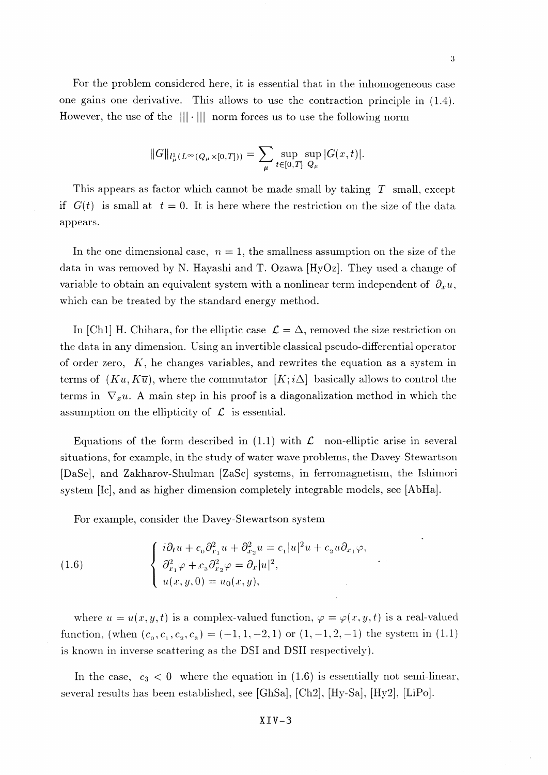For the problem considered here, it is essential that in the inhomogeneous case one gains one derivative. This allows to use the contraction principle in (1.4). However, the use of the  $|||\cdot|||$  norm forces us to use the following norm

$$
||G||_{l^1_\mu(L^\infty(Q_\mu\times[0,T]))} = \sum_{\mu} \sup_{t\in[0,T]} \sup_{Q_\mu} |G(x,t)|.
$$

This appears as factor which cannot be made small by taking  $T$  small, except if  $G(t)$  is small at  $t=0$ . It is here where the restriction on the size of the data appears.

In the one dimensional case,  $n=1$ , the smallness assumption on the size of the data in was removed by N. Hayashi and T. Ozawa [HyOz]. They used a change of variable to obtain an equivalent system with a nonlinear term independent of  $\partial_x u$ , which can be treated by the standard energy method.

In [Ch1] H. Chihara, for the elliptic case  $\mathcal{L} = \Delta$ , removed the size restriction on the data in any dimension. Using an invertible classical pseudo-differential operator of order zero,  $K$ , he changes variables, and rewrites the equation as a system in terms of  $(Ku, K\overline{u})$ , where the commutator  $[K; i\Delta]$  basically allows to control the terms in  $\nabla_x u$ . A main step in his proof is a diagonalization method in which the assumption on the ellipticity of  $\mathcal L$  is essential.

Equations of the form described in  $(1.1)$  with  $\mathcal L$  non-elliptic arise in several situations, for example, in the study of water wave problems, the Davey-Stewartson [DaSe], and Zakharov-Shulman [ZaSc] systems, in ferromagnetism, the Ishimori system [Ic], and as higher dimension completely integrable models, see [AbHa].

For example, consider the Davey-Stewartson system

(1.6) 
$$
\begin{cases} i\partial_t u + c_0 \partial_{x_1}^2 u + \partial_{x_2}^2 u = c_1 |u|^2 u + c_2 u \partial_{x_1} \varphi, \\ \partial_{x_1}^2 \varphi + c_3 \partial_{x_2}^2 \varphi = \partial_x |u|^2, \\ u(x, y, 0) = u_0(x, y), \end{cases}
$$

where  $u = u(x, y, t)$  is a complex-valued function,  $\varphi = \varphi(x, y, t)$  is a real-valued function, (when  $(c_0, c_1, c_2, c_3) = (-1,1,-2,1)$  or  $(1,-1,2,-1)$  the system in (1.1) is known in inverse scattering as the DSI and DSII respectively).

In the case,  $c_3 < 0$  where the equation in (1.6) is essentially not semi-linear, several results has been established, see [GhSa], [Ch2], [Hy-Sa], [Hy2], [LiPo].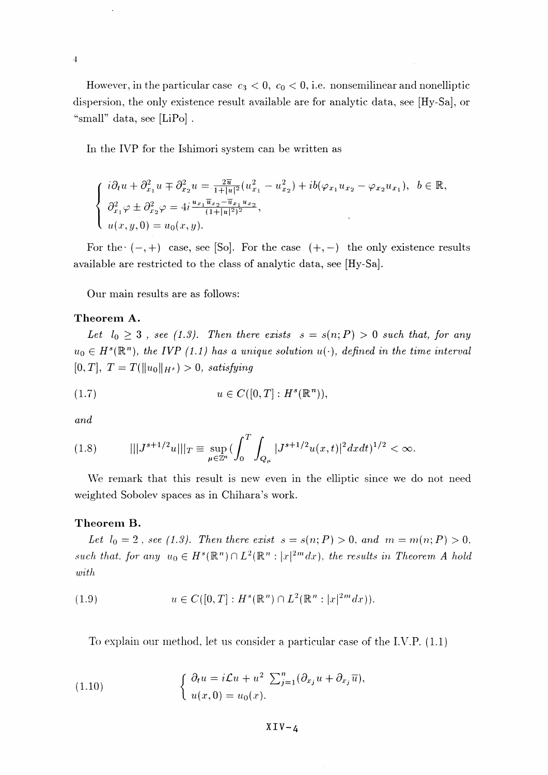However, in the particular case  $c_3 < 0$ ,  $c_0 < 0$ , i.e. nonsemilinear and nonelliptic dispersion, the only existence result available are for analytic data, see [Hy-Sa], or "small" data, see  $[LiPo]$ .

In the IVP for the Ishimori system can be written as

$$
\begin{cases}\ni\partial_t u + \partial_{x_1}^2 u + \partial_{x_2}^2 u = \frac{2\overline{u}}{1+|u|^2} (u_{x_1}^2 - u_{x_2}^2) + ib(\varphi_{x_1} u_{x_2} - \varphi_{x_2} u_{x_1}), & b \in \mathbb{R}, \\
\partial_{x_1}^2 \varphi \pm \partial_{x_2}^2 \varphi = 4i \frac{u_{x_1} \overline{u}_{x_2} - \overline{u}_{x_1} u_{x_2}}{(1+|u|^2)^2}, \\
u(x, y, 0) = u_0(x, y).\n\end{cases}
$$

For the  $(-,+)$  case, see [So]. For the case  $(+,-)$  the only existence results available are restricted to the class of analytic data, see [Hy-Sa].

Our main results are as follows:

## **Theorem A.**

Let  $I_0 \geq 3$ , see (1.3). Then there exists  $s = s(n; P) > 0$  such that, for any  $u_0 \\in H^s(\mathbb{R}^n)$ *, the IVP (1.1) has a unique solution u(.), defined in the time interval*  $[0, T]$ ,  $T = T(\|u_0\|_{H^s}) > 0$ , satisfying

$$
(1.7) \t u \in C([0,T]: H^s(\mathbb{R}^n)),
$$

*and*

 $\overline{4}$ 

$$
(1.8) \t\t\t\t||J^{s+1/2}u|||_{T} \equiv \sup_{\mu \in \mathbb{Z}^n} (\int_0^T \int_{Q_{\mu}} |J^{s+1/2}u(x,t)|^2 dxdt)^{1/2} < \infty.
$$

We remark that this result is new even in the elliptic since *we* do not need weighted Sobolev spaces as in Chihara's work.

### **Theorem B.**

*Let*  $l_0 = 2$ , see (1.3). Then there exist  $s = s(n; P) > 0$ , and  $m = m(n; P) > 0$ , *such that. for any*  $u_0 \in H^s(\mathbb{R}^n) \cap L^2(\mathbb{R}^n : |x|^{2m} dx)$ , the results in Theorem A hold *with*

(1.9) 
$$
u \in C([0,T]: H^s(\mathbb{R}^n) \cap L^2(\mathbb{R}^n : |x|^{2m} dx)).
$$

To explain our method, let us consider a, particular case of the I.V.P. (1.1)

(1.10) 
$$
\begin{cases} \partial_t u = i \mathcal{L} u + u^2 \sum_{j=1}^n (\partial_{x_j} u + \partial_{x_j} \overline{u}), \\ u(x, 0) = u_0(x). \end{cases}
$$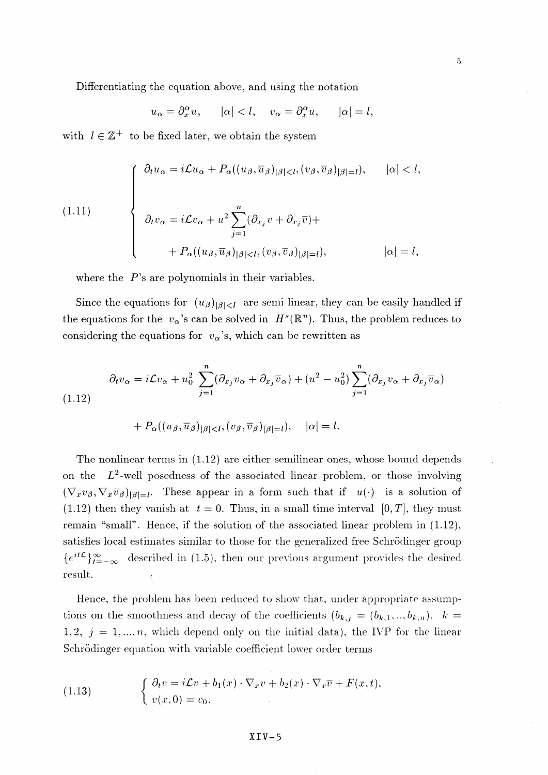Differentiating the equation above, and using the notation

$$
u_{\alpha} = \partial_x^{\alpha} u
$$
,  $|\alpha| < l$ ,  $v_{\alpha} = \partial_x^{\alpha} u$ ,  $|\alpha| = l$ ,

with  $l \in \mathbb{Z}^+$  to be fixed later, we obtain the system

(1.11)  

$$
\begin{cases}\n\partial_t u_{\alpha} = i\mathcal{L}u_{\alpha} + P_{\alpha}((u_{\beta}, \overline{u}_{\beta})_{|\beta| < l}, (v_{\beta}, \overline{v}_{\beta})_{|\beta| = l}), \quad |\alpha| < l, \\
\partial_t v_{\alpha} = i\mathcal{L}v_{\alpha} + u^2 \sum_{j=1}^n (\partial_{x_j} v + \partial_{x_j} \overline{v}) + \\
+ P_{\alpha}((u_{\beta}, \overline{u}_{\beta})_{|\beta| < l}, (v_{\beta}, \overline{v}_{\beta})_{|\beta| = l}), \quad |\alpha| = l,\n\end{cases}
$$

where the  $P$ 's are polynomials in their variables.

Since the equations for  $(u_{\beta})_{|\beta|< l}$  are semi-linear, they can be easily handled if the equations for the  $v_{\alpha}$ 's can be solved in  $H^s(\mathbb{R}^n)$ . Thus, the problem reduces to considering the equations for  $v_\alpha$ 's, which can be rewritten as

$$
\partial_t v_\alpha = i\mathcal{L}v_\alpha + u_0^2 \sum_{j=1}^n (\partial_{x_j} v_\alpha + \partial_{x_j} \overline{v}_\alpha) + (u^2 - u_0^2) \sum_{j=1}^n (\partial_{x_j} v_\alpha + \partial_{x_j} \overline{v}_\alpha)
$$
\n(1.12)

$$
+ P_{\alpha}((u_{\beta}, \overline{u}_{\beta})_{|\beta| < l}, (v_{\beta}, \overline{v}_{\beta})_{|\beta|=l}), \quad |\alpha| = l
$$

The nonlinear terms in (1.12) are either semilinear ones, whose bound depends on the  $L^2$ -well posedness of the associated linear problem, or those involving  $(\nabla_x v_\beta, \nabla_x \overline{v}_\beta)_{|\beta|=l}$ . These appear in a form such that if  $u(\cdot)$  is a solution of  $(1.12)$  then they vanish at  $t = 0$ . Thus, in a small time interval  $[0, T]$ , they must remain "small". Hence, if the solution of the associated linear problem in  $(1.12)$ , satisfies local estimates similar to those for the generalized free Schrodinger group  ${e^{it\mathcal{L}}}_{t=-\infty}^{\infty}$  described in (1.5), then our previous argument provides the desired  ${\bf result.}$ 

Hence, the problem has been reduced to show that, under appropriate assumptions on the smoothness and decay of the coefficients  $(b_{k,j} = (b_{k,1},..., b_{k,n}), k =$ 1,2,  $j = 1, ..., n$ , which depend only on the initial data), the IVP for the linear Schrödinger equation with variable coefficient lower order terms

(1.13) 
$$
\begin{cases} \partial_t v = i \mathcal{L} v + b_1(x) \cdot \nabla_x v + b_2(x) \cdot \nabla_x \overline{v} + F(x, t), \\ v(x, 0) = v_0, \end{cases}
$$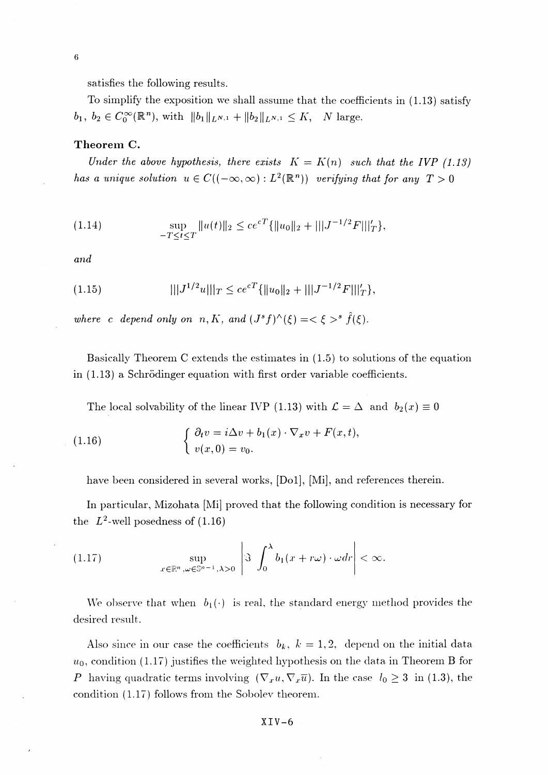satisfies the following results.

To simplify the exposition we shall assume that the coefficients in (1.13) satisfy  $b_1, b_2 \in C_0^{\infty}(\mathbb{R}^n)$ , with  $\|b_1\|_{L^{N,1}} + \|b_2\|_{L^{N,1}} \leq K$ , N large.

#### **Theorem C.**

*Under the above hypothesis, there exists*  $K = K(n)$  *such that the IVP* (1.13) *has a unique solution*  $u \in C((-\infty, \infty): L^2(\mathbb{R}^n))$  verifying that for any  $T > 0$ 

(1.14) 
$$
\sup_{-T \leq t \leq T} ||u(t)||_2 \leq c e^{cT} \{ ||u_0||_2 + |||J^{-1/2}F|||_{T}^{\prime} \},
$$

*and*

 $\overline{6}$ 

(1.15) 
$$
|||J^{1/2}u|||_T \le ce^{cT}\{||u_0||_2 + |||J^{-1/2}F|||'_T\},
$$

where c depend only on  $n, K$ , and  $(J^s f)^\wedge(\xi) = \langle \xi \rangle^s \hat{f}(\xi)$ .

Basically Theorem C extends the estimates in (1.5) to solutions of the equation in (1.13) a Schrödinger equation with first order variable coefficients.

The local solvability of the linear IVP (1.13) with  $\mathcal{L} = \Delta$  and  $b_{2}(x) \equiv 0$ 

(1.16) 
$$
\begin{cases} \partial_t v = i \Delta v + b_1(x) \cdot \nabla_x v + F(x, t), \\ v(x, 0) = v_0. \end{cases}
$$

have been considered in several works, [Do1], [Mi], and references therein.

In particular, Mizohata [Mi] proved that the following condition is necessary for the  $L^2$ -well posedness of (1.16)

(1.17) 
$$
\sup_{x \in \mathbb{R}^n, \omega \in \mathbb{S}^{n-1}, \lambda > 0} \left| \Im \int_0^{\lambda} b_1(x + r\omega) \cdot \omega dr \right| < \infty.
$$

We observe that when  $b_1(\cdot)$  is real, the standard energy method provides the desired result.

Also since in our case the coefficients  $b_k$ ,  $k = 1,2$ , depend on the initial data  $u_0$ , condition (1.17) justifies the weighted hypothesis on the data in Theorem B for *P* having quadratic terms involving  $(\nabla_x u, \nabla_x \overline{u})$ . In the case  $l_0 \geq 3$  in (1.3), the condition (1.17) follows from the Sobolev theorem.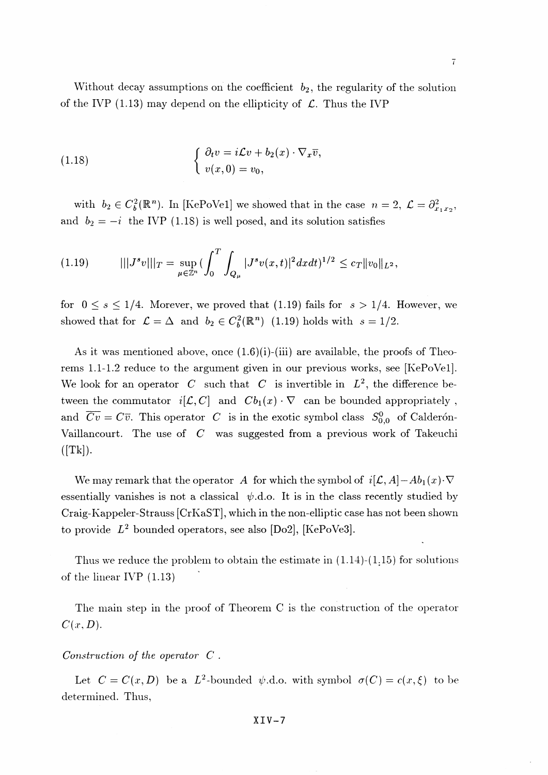Without decay assumptions on the coefficient  $b_2$ , the regularity of the solution of the IVP (1.13) may depend on the ellipticity of *C.* Thus the IVP

(1.18) 
$$
\begin{cases} \partial_t v = i \mathcal{L} v + b_2(x) \cdot \nabla_x \overline{v}, \\ v(x, 0) = v_0, \end{cases}
$$

with  $b_2 \in C_b^2(\mathbb{R}^n)$ . In [KePoVe1] we showed that in the case  $n=2, \mathcal{L}=\partial_{x_1,x_2}^2$ , and  $b_2 = -i$  the IVP (1.18) is well posed, and its solution satisfies

$$
(1.19) \t\t\t\t\t||J^sv|||_T = \sup_{\mu \in \mathbb{Z}^n} (\int_0^T \int_{Q_\mu} |J^sv(x,t)|^2 dx dt)^{1/2} \leq c_T \|v_0\|_{L^2},
$$

for  $0 \le s \le 1/4$ . Morever, we proved that (1.19) fails for  $s > 1/4$ . However, we showed that for  $\mathcal{L} = \Delta$  and  $b_2 \in C_b^2(\mathbb{R}^n)$  (1.19) holds with  $s = 1/2$ .

As it was mentioned above, once  $(1.6)(i)$ -(iii) are available, the proofs of Theorems 1.1-1.2 reduce to the argument given in our previous works, see [KePoVel]. We look for an operator  $C$  such that  $C$  is invertible in  $L^2$ , the difference between the commutator  $i[\mathcal{L}, C]$  and  $Cb_1(x) \cdot \nabla$  can be bounded appropriately, and  $\overline{Cv} = C\overline{v}$ . This operator *C* is in the exotic symbol class  $S_{0,0}^0$  of Calderón-Vaillancourt. The use of *C* was suggested from a previous work of Takeuchi  $([Tk]).$ 

We may remark that the operator A for which the symbol of  $i[\mathcal{L}, A] - Ab_{1}(x) \cdot \nabla$ essentially vanishes is not a classical  $\psi$ .d.o. It is in the class recently studied by Craig-Kappeler-Strauss [CrKaST], which in the non-elliptic case has not been shown to provide *L<sup>2</sup>* bounded operators, see also [Do2], [KePoVe3].

Thus we reduce the problem to obtain the estimate in  $(1.14)-(1.15)$  for solutions of the linear IVP (1.13)

The main step in the proof of Theorem C is the construction of the operator  $C(x,D)$ .

## *Construction of the operator C .*

Let  $C = C(x, D)$  be a  $L^2$ -bounded  $\psi$ .d.o. with symbol  $\sigma(C) = c(x, \xi)$  to be determined. Thus,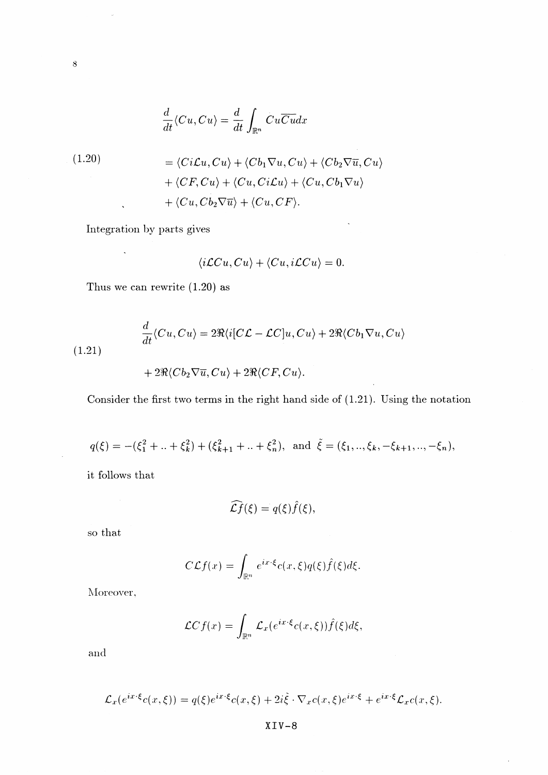$$
\frac{d}{dt}\langle Cu, Cu\rangle = \frac{d}{dt}\int_{\mathbb{R}^n} Cu\overline{C}u dx
$$

(1.20)  
\n
$$
= \langle Ci\mathcal{L}u, Cu\rangle + \langle Cb_1\nabla u, Cu\rangle + \langle Cb_2\nabla \overline{u}, Cu\rangle
$$
\n
$$
+ \langle CF, Cu\rangle + \langle Cu, Ci\mathcal{L}u\rangle + \langle Cu, Cb_1\nabla u\rangle
$$
\n
$$
+ \langle Cu, Cb_2\nabla \overline{u}\rangle + \langle Cu, CF\rangle.
$$

Integration 1)y parts gives

 $\langle \cdot, \cdot \rangle$ 

$$
\langle i\mathcal{L}Cu, Cu \rangle + \langle Cu, i\mathcal{L}Cu \rangle = 0.
$$

t,

 $\ddot{\phantom{a}}$ 

Thus we can rewrite (1.20) as

(1.21)  
\n
$$
\frac{d}{dt}\langle Cu, Cu \rangle = 2\Re\langle i[C\mathcal{L} - \mathcal{L}C]u, Cu \rangle + 2\Re\langle Cb_1 \nabla u, Cu \rangle
$$
\n
$$
+ 2\Re\langle Cb_2 \nabla \overline{u}, Cu \rangle + 2\Re\langle CF, Cu \rangle.
$$

Consider the first two terms in the right hand side of (1.21). Using the notation

$$
q(\xi) = -(\xi_1^2 + \ldots + \xi_k^2) + (\xi_{k+1}^2 + \ldots + \xi_n^2), \text{ and } \tilde{\xi} = (\xi_1, \ldots, \xi_k, -\xi_{k+1}, \ldots, -\xi_n),
$$

it follows that

$$
\widehat{\mathcal{L}f}(\xi) = q(\xi)\widehat{f}(\xi),
$$

so that

 $\ddot{\phantom{a}}$ 

$$
C\mathcal{L}f(x) = \int_{\mathbb{R}^n} e^{ix\cdot\xi} c(x,\xi)q(\xi)\hat{f}(\xi)d\xi.
$$

Moreover.

$$
\mathcal{L}Cf(x) = \int_{\mathbb{R}^n} \mathcal{L}_x(e^{ix\cdot\xi}c(x,\xi))\hat{f}(\xi)d\xi,
$$

and

$$
\mathcal{L}_x(e^{ix\cdot\xi}c(x,\xi)) = q(\xi)e^{ix\cdot\xi}c(x,\xi) + 2i\tilde{\xi}\cdot\nabla_x c(x,\xi)e^{ix\cdot\xi} + e^{ix\cdot\xi}\mathcal{L}_xc(x,\xi).
$$

XIV-8

 $\bar{8}$ 

 $\ddot{\phantom{a}}$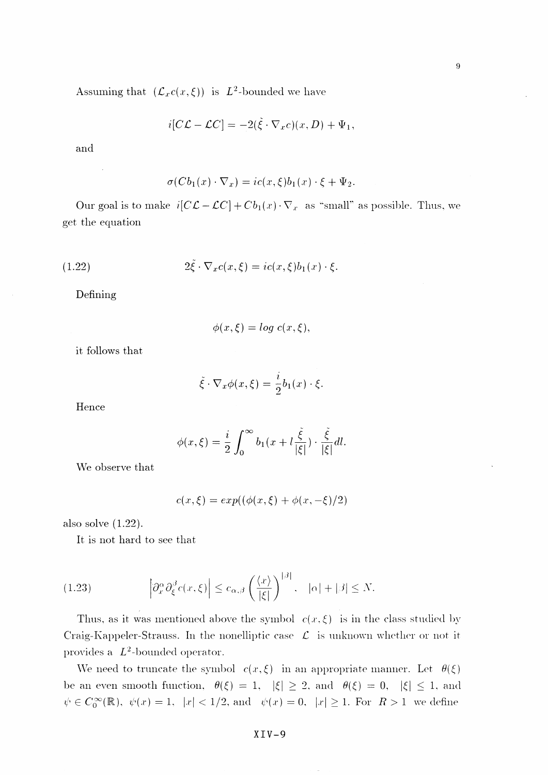$\overline{9}$ 

Assuming that  $(\mathcal{L}_x c(x,\xi))$  is  $L^2$ -bounded we have

$$
i[C\mathcal{L} - \mathcal{L}C] = -2(\tilde{\xi} \cdot \nabla_x c)(x, D) + \Psi_1,
$$

and

$$
\sigma(Cb_1(x)\cdot \nabla_x)=ic(x,\xi)b_1(x)\cdot \xi+\Psi_2.
$$

Our goal is to make  $i[CL - LC] + Cb_1(x) \cdot \nabla_x$  as "small" as possible. Thus, we get the equation

(1.22) 
$$
2\tilde{\xi} \cdot \nabla_x c(x,\xi) = ic(x,\xi)b_1(x) \cdot \xi.
$$

Defining

$$
\phi(x,\xi) = \log c(x,\xi),
$$

it follows that

$$
\tilde{\xi} \cdot \nabla_x \phi(x,\xi) = \frac{i}{2} b_1(x) \cdot \xi.
$$

Hence

$$
\phi(x,\xi) = \frac{i}{2} \int_0^\infty b_1(x + l \frac{\tilde{\xi}}{|\xi|}) \cdot \frac{\tilde{\xi}}{|\xi|} dl.
$$

We observe that

$$
c(x,\xi) = exp((\phi(x,\xi) + \phi(x,-\xi)/2)
$$

also solve (1.22).

It is not hard to see that

(1.23) 
$$
\left|\partial_x^{\alpha}\partial_{\xi}^{\beta}c(x,\xi)\right| \leq c_{\alpha,\beta}\left(\frac{\langle x \rangle}{|\xi|}\right)^{|\beta|}, \quad |\alpha|+|\beta| \leq N.
$$

Thus, as it was mentioned above the symbol  $c(x,\xi)$  is in the class studied by Craig-Kappeler-Strauss. In the nonelliptic case *£* is unknown whether or not it provides a  $L^2$ -bounded operator.

We need to truncate the symbol  $c(x,\xi)$  in an appropriate manner. Let  $\theta(\xi)$ be an even smooth function,  $\theta(\xi) = 1, |\xi| \geq 2$ , and  $\theta(\xi) = 0, |\xi| \leq 1$ , and  $\psi \in C_0^{\infty}(\mathbb{R}), \ \psi(x) = 1, \ |x| < 1/2, \text{and} \ \psi(x) = 0, \ |x| \geq 1. \text{ For } R > 1 \text{ we define}$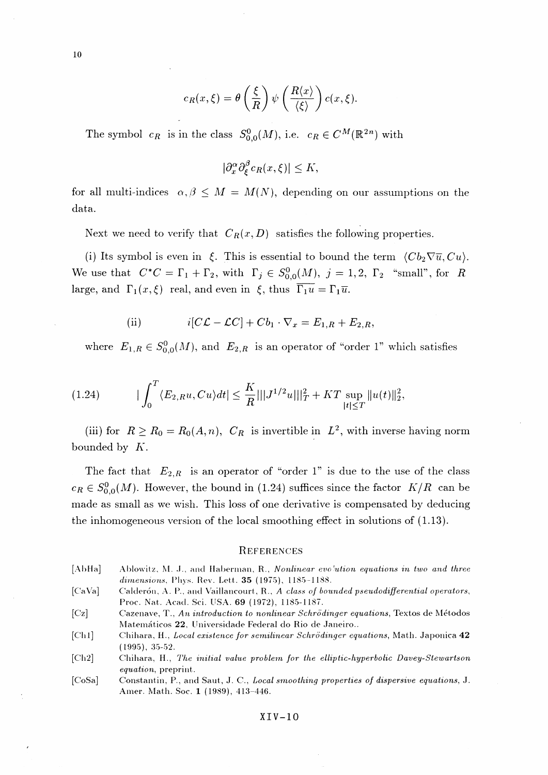$$
c_R(x,\xi) = \theta\left(\frac{\xi}{R}\right)\psi\left(\frac{R\langle x \rangle}{\langle \xi \rangle}\right)c(x,\xi).
$$

The symbol  $c_R$  is in the class  $S^0_{0,0}(M)$ , i.e.  $c_R \in C^M(\mathbb{R}^{2n})$  with

$$
|\partial_x^{\alpha} \partial_{\xi}^{\beta} c_R(x,\xi)| \le K,
$$

for all multi-indices  $\alpha, \beta \leq M = M(N)$ , depending on our assumptions on the data.

Next we need to verify that  $C_R(x, D)$  satisfies the following properties.

(i) Its symbol is even in  $\xi$ . This is essential to bound the term  $\langle Cb_2 \nabla \overline{u}, Cu \rangle$ . We use that  $C^*C = \Gamma_1 + \Gamma_2$ , with  $\Gamma_j \in S^0_{0,0}(M), j = 1,2, \Gamma_2$  "small", for *R* large, and  $\Gamma_1(x,\xi)$  real, and even in  $\xi$ , thus  $\overline{\Gamma_1 u} = \Gamma_1 \overline{u}$ .

(ii) 
$$
i[C\mathcal{L} - \mathcal{L}C] + Cb_1 \cdot \nabla_x = E_{1,R} + E_{2,R},
$$

where  $E_{1,R} \in S^0_{0,0}(M)$ , and  $E_{2,R}$  is an operator of "order *V*" which satisfies

$$
(1.24) \t\t | \int_0^T \langle E_{2,R}u, Cu \rangle dt | \leq \frac{K}{R} |||J^{1/2}u|||_T^2 + KT \sup_{|t| \leq T} ||u(t)||_2^2,
$$

(iii) for  $R \ge R_0 = R_0(A, n)$ ,  $C_R$  is invertible in  $L^2$ , with inverse having norm bounded by *K.*

The fact that  $E_{2,R}$  is an operator of "order 1" is due to the use of the class  $c_R \in S^0_{0,0}(M)$ . However, the bound in (1.24) suffices since the factor  $K/R$  can be made as small as we wish. This loss of one derivative is compensated by deducing the inhomogeneous version of the local smoothing effect in solutions of (1.13).

#### **REFERENCES**

- [AbHa] Ablowitz, M. J., and Haberman, R., *Nonlinear evo'ution equations in two and three dimensions*, Phys. Rev. Lett. **35** (1975), 1185-1188.
- [CaVa] Cakleron, A. P., anci Vaillancourt, R., A *class of bounded pseudodifferentzal operators,* Proc. Nat. Acacl. Sci. USA. **69** (1972), 1185-1187.

[Cz] Cazenave, T., *An introduction to nonlinear Schrodznger equations^* Textos cle Metodos Matematicos **22,** Universidade Federal do Rio de Janeiro..

- [Ch1] Chihara, H., *Local existence for semilinear Schrödinger equations*, Math. Japonica 42 (1995), 35-52.
- [Ch2] Chihara, H., *The initial value problem for the elliptic-hyperbolic Davey-Stewartson equation^* preprint.
- [CoSa] Constantin, P., and Saut, J. C., *Local smoothing properties of dispersive equations,* J. Amer. Math. Soc. 1 (1989), 413-446.